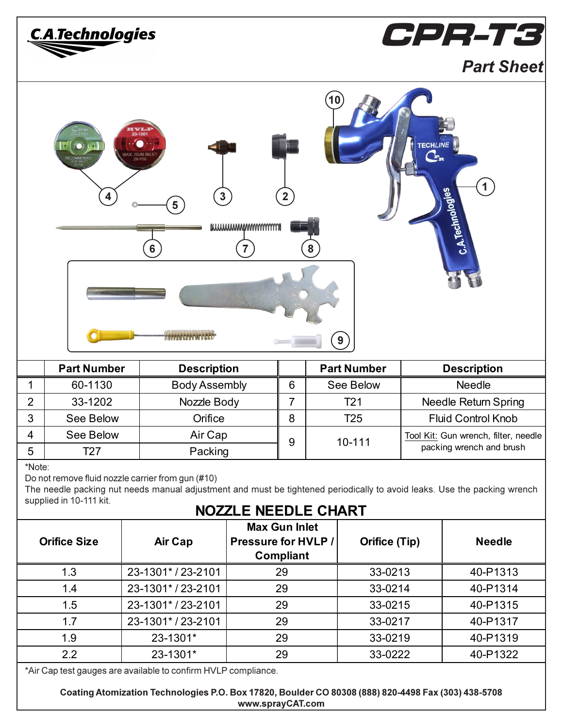| CPR-T3<br><u>C.A.Technolog</u> ies                                                                                                                                                                                                                                                                                                                                         |                                                                |                      |                  |   |                 |                    |                                      |                      |
|----------------------------------------------------------------------------------------------------------------------------------------------------------------------------------------------------------------------------------------------------------------------------------------------------------------------------------------------------------------------------|----------------------------------------------------------------|----------------------|------------------|---|-----------------|--------------------|--------------------------------------|----------------------|
|                                                                                                                                                                                                                                                                                                                                                                            |                                                                |                      |                  |   |                 |                    |                                      | <b>Part Sheet</b>    |
| 23-1301<br><b>TECHLINE</b><br>AX. GUN INLEY<br>$\mathbf{1}$<br>C.A.Technologies<br>$\overline{2}$<br>$\mathbf{3}$<br>5<br>muunnnnnnnnnnnnn<br>$6\phantom{a}$<br>8                                                                                                                                                                                                          |                                                                |                      |                  |   |                 |                    |                                      |                      |
|                                                                                                                                                                                                                                                                                                                                                                            | <b>Part Number</b>                                             | <b>Description</b>   |                  |   |                 | <b>Part Number</b> |                                      | <b>Description</b>   |
| 1                                                                                                                                                                                                                                                                                                                                                                          | 60-1130                                                        | <b>Body Assembly</b> |                  | 6 |                 | See Below          |                                      | <b>Needle</b>        |
| $\overline{2}$                                                                                                                                                                                                                                                                                                                                                             | 33-1202                                                        | Nozzle Body          |                  | 7 | T <sub>21</sub> |                    | Needle Return Spring                 |                      |
| 3                                                                                                                                                                                                                                                                                                                                                                          | See Below                                                      |                      | Orifice          |   |                 | T <sub>25</sub>    | <b>Fluid Control Knob</b>            |                      |
| 4                                                                                                                                                                                                                                                                                                                                                                          | See Below                                                      |                      | Air Cap          |   |                 |                    | Tool Kit: Gun wrench, filter, needle |                      |
| 5                                                                                                                                                                                                                                                                                                                                                                          | T27                                                            | Packing              |                  | 9 | 10-111          |                    | packing wrench and brush             |                      |
| *Note:<br>Do not remove fluid nozzle carrier from gun (#10)<br>The needle packing nut needs manual adjustment and must be tightened periodically to avoid leaks. Use the packing wrench<br>supplied in 10-111 kit.<br><b>NOZZLE NEEDLE CHART</b><br><b>Max Gun Inlet</b><br><b>Orifice Size</b><br>Air Cap<br>Pressure for HVLP /<br><b>Orifice (Tip)</b><br><b>Needle</b> |                                                                |                      |                  |   |                 |                    |                                      |                      |
|                                                                                                                                                                                                                                                                                                                                                                            |                                                                |                      | <b>Compliant</b> |   |                 |                    |                                      |                      |
| 1.3                                                                                                                                                                                                                                                                                                                                                                        |                                                                | 23-1301*/23-2101     | 29               |   |                 | 33-0213            |                                      | 40-P1313             |
| 1.4                                                                                                                                                                                                                                                                                                                                                                        |                                                                | 23-1301*/23-2101     | 29               |   |                 | 33-0214            |                                      | 40-P1314             |
| 1.5                                                                                                                                                                                                                                                                                                                                                                        |                                                                | 23-1301*/23-2101     | 29               |   |                 | 33-0215            |                                      | 40-P1315             |
| 1.7<br>1.9                                                                                                                                                                                                                                                                                                                                                                 |                                                                | 23-1301*/23-2101     | 29<br>29         |   |                 | 33-0217<br>33-0219 |                                      | 40-P1317             |
| 2.2                                                                                                                                                                                                                                                                                                                                                                        |                                                                | 23-1301*<br>23-1301* | 29               |   |                 | 33-0222            |                                      | 40-P1319<br>40-P1322 |
|                                                                                                                                                                                                                                                                                                                                                                            | *Air Cap test gauges are available to confirm HVLP compliance. |                      |                  |   |                 |                    |                                      |                      |

Coating Atomization Technologies P.O. Box 17820, Boulder CO 80308 (888) 820-4498 Fax (303) 438-5708 www.sprayCAT.com